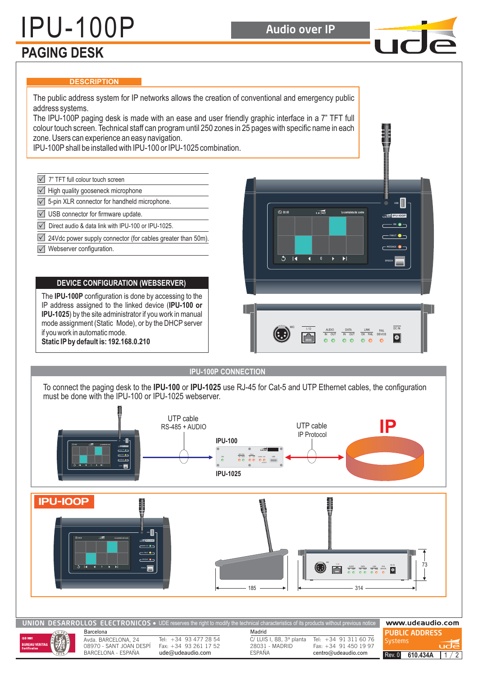# IPU-100P Audio over IP

 $\blacksquare$ 

## **PAGING DESK**

#### **DESCRIPTION**

The public address system for IP networks allows the creation of conventional and emergency public address systems. The IPU-100P paging desk is made with an ease and user friendly graphic interface in a 7" TFT full colour touch screen. Technical staff can program until 250 zones in 25 pages with specific name in each zone. Users can experience an easy navigation. IPU-100P shall be installed with IPU-100 or IPU-1025 combination.  $\sqrt{}$ 7" TFT full colour touch screen  $\sqrt{\phantom{a}}$  High quality gooseneck microphone  $\sqrt{ }$  5-pin XLR connector for handheld microphone. **USB**  $\overline{u}$  $\sqrt{}$ USB connector for firmware update. IPU-100P  $\sqrt{}$ Direct audio & data link with IPU-100 or IPU-1025. ON  $\sqrt{}$ 24Vdc power supply connector (for cables greater than 50m). Webserver configuration. **MESSAGE**  $\overline{5}$ R SPEECH **DEVICE CONFIGURATION (WEBSERVER)** The IPU-100P configuration is done by accessing to the IP address assigned to the linked device ( **IPU-100 or** IPU-1025) by the site administrator if you work in manual mode assignment (Static Mode), or by the DHCP server MIC TO AUDIO DATA LINK FAIL DEVIN<br>IN OUT IN OUT OK FAIL DEVICE  $\frac{DATA}{IN}$   $\frac{LINK}{OK}$  FAIL if you work in automatic mode.  $|\bullet|$  $\bullet$ **Static IP by default is: 192.168.0.210**

**IPU-100P CONNECTION**

To connect the paging desk to the IPU-100 or IPU-1025 use RJ-45 for Cat-5 and UTP Ethernet cables, the configuration must be done with the IPU-100 or IPU-1025 webserver.